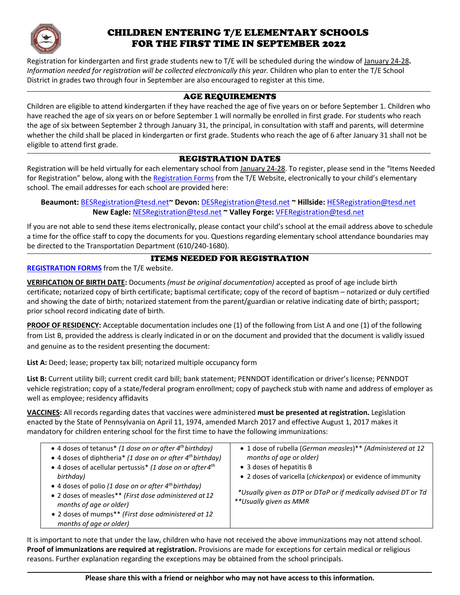

## CHILDREN ENTERING T/E ELEMENTARY SCHOOLS FOR THE FIRST TIME IN SEPTEMBER 2022

Registration for kindergarten and first grade students new to T/E will be scheduled during the window of January 24-28**.**  *Information needed for registration will be collected electronically this year.* Children who plan to enter the T/E School District in grades two through four in September are also encouraged to register at this time.

## AGE REQUIREMENTS

Children are eligible to attend kindergarten if they have reached the age of five years on or before September 1. Children who have reached the age of six years on or before September 1 will normally be enrolled in first grade. For students who reach the age of six between September 2 through January 31, the principal, in consultation with staff and parents, will determine whether the child shall be placed in kindergarten or first grade. Students who reach the age of 6 after January 31 shall not be eligible to attend first grade.

## REGISTRATION DATES

Registration will be held virtually for each elementary school from January 24-28. To register, please send in the "Items Needed for Registration" below, along with the [Registration Forms](https://www.tesd.net/Page/16472) from the T/E Website, electronically to your child's elementary school. The email addresses for each school are provided here:

**Beaumont:** [BESRegistration@tesd.net](mailto:BESRegistration@tesd.net)**~ Devon:** [DESRegistration@tesd.net](mailto:DESRegistration@tesd.net) **~ Hillside:** [HESRegistration@tesd.net](mailto:HESRegistration@tesd.net) **New Eagle:** [NESRegistration@tesd.net](mailto:NESRegistration@tesd.net) **~ Valley Forge:** [VFERegistration@tesd.net](mailto:VFERegistration@tesd.net)

If you are not able to send these items electronically, please contact your child's school at the email address above to schedule a time for the office staff to copy the documents for you. Questions regarding elementary school attendance boundaries may be directed to the Transportation Department (610/240-1680).

## ITEMS NEEDED FOR REGISTRATION

**[REGISTRATION FORMS](https://www.tesd.net/Page/16472)** from the T/E website.

**VERIFICATION OF BIRTH DATE:** Documents *(must be original documentation)* accepted as proof of age include birth certificate; notarized copy of birth certificate; baptismal certificate; copy of the record of baptism – notarized or duly certified and showing the date of birth; notarized statement from the parent/guardian or relative indicating date of birth; passport; prior school record indicating date of birth.

**PROOF OF RESIDENCY:** Acceptable documentation includes one (1) of the following from List A and one (1) of the following from List B, provided the address is clearly indicated in or on the document and provided that the document is validly issued and genuine as to the resident presenting the document:

List A: Deed; lease; property tax bill; notarized multiple occupancy form

**List B:** Current utility bill; current credit card bill; bank statement; PENNDOT identification or driver's license; PENNDOT vehicle registration; copy of a state/federal program enrollment; copy of paycheck stub with name and address of employer as well as employee; residency affidavits

**VACCINES:** All records regarding dates that vaccines were administered **must be presented at registration.** Legislation enacted by the State of Pennsylvania on April 11, 1974, amended March 2017 and effective August 1, 2017 makes it mandatory for children entering school for the first time to have the following immunizations:

| • 4 doses of tetanus <sup>*</sup> (1 dose on or after $4^{th}$ birthday)<br>• 4 doses of diphtheria* (1 dose on or after 4 <sup>th</sup> birthday)<br>• 4 doses of acellular pertussis* (1 dose on or after 4 <sup>th</sup><br>birthday)<br>• 4 doses of polio (1 dose on or after $4^{th}$ birthday)<br>• 2 doses of measles** (First dose administered at 12<br>months of age or older)<br>• 2 doses of mumps** (First dose administered at 12<br>months of age or older) | • 1 dose of rubella (German measles)** (Administered at 12<br>months of age or older)<br>• 3 doses of hepatitis B<br>• 2 doses of varicella (chickenpox) or evidence of immunity<br>*Usually given as DTP or DTaP or if medically advised DT or Td<br>**Usually given as MMR |
|-----------------------------------------------------------------------------------------------------------------------------------------------------------------------------------------------------------------------------------------------------------------------------------------------------------------------------------------------------------------------------------------------------------------------------------------------------------------------------|------------------------------------------------------------------------------------------------------------------------------------------------------------------------------------------------------------------------------------------------------------------------------|
|-----------------------------------------------------------------------------------------------------------------------------------------------------------------------------------------------------------------------------------------------------------------------------------------------------------------------------------------------------------------------------------------------------------------------------------------------------------------------------|------------------------------------------------------------------------------------------------------------------------------------------------------------------------------------------------------------------------------------------------------------------------------|

It is important to note that under the law, children who have not received the above immunizations may not attend school. **Proof of immunizations are required at registration.** Provisions are made for exceptions for certain medical or religious reasons. Further explanation regarding the exceptions may be obtained from the school principals.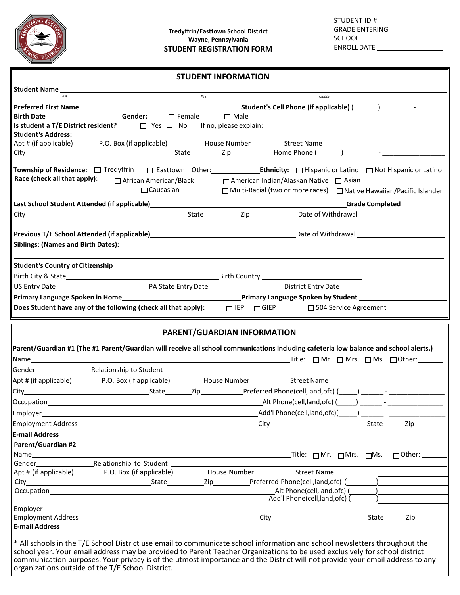

STUDENT ID # GRADE ENTERING SCHOOL<br>
<u>SCHOOL</u> ENROLL DATE

|                                                                                                                                                                                                                                | <b>STUDENT INFORMATION</b> |  |        |                                                                       |
|--------------------------------------------------------------------------------------------------------------------------------------------------------------------------------------------------------------------------------|----------------------------|--|--------|-----------------------------------------------------------------------|
|                                                                                                                                                                                                                                |                            |  |        |                                                                       |
| last                                                                                                                                                                                                                           | First                      |  | Middle |                                                                       |
|                                                                                                                                                                                                                                |                            |  |        |                                                                       |
|                                                                                                                                                                                                                                |                            |  |        |                                                                       |
| Is student a T/E District resident? $\Box$ Yes $\Box$ No If no, please explain: $\Box$                                                                                                                                         |                            |  |        |                                                                       |
| <b>Student's Address:</b>                                                                                                                                                                                                      |                            |  |        |                                                                       |
|                                                                                                                                                                                                                                |                            |  |        |                                                                       |
| City Content Content Content Content Content Content Content Content Content Content Content Content Content Content Content Content Content Content Content Content Content Content Content Content Content Content Content C |                            |  |        |                                                                       |
| Race (check all that apply): $\Box$ African American/Black $\Box$ American Indian/Alaskan Native $\Box$ Asian                                                                                                                  | $\Box$ Caucasian           |  |        | □ Multi-Racial (two or more races) □ Native Hawaiian/Pacific Islander |
|                                                                                                                                                                                                                                |                            |  |        |                                                                       |
|                                                                                                                                                                                                                                |                            |  |        |                                                                       |
| Previous T/E School Attended (if applicable) and the contract of the contract of Mithdrawal Date of Withdrawal                                                                                                                 |                            |  |        |                                                                       |
| Siblings: (Names and Birth Dates): Names and Birth Dates (1996) and the series of the series of the series of the series of the series of the series of the series of the series of the series of the series of the series of  |                            |  |        |                                                                       |

| Student's Country of Citizenship                               |  |            |             |                                                                                                                 |  |
|----------------------------------------------------------------|--|------------|-------------|-----------------------------------------------------------------------------------------------------------------|--|
| Birth City & State                                             |  |            |             | Birth Country the community of the control of the control of the control of the control of the control of the c |  |
| US Entry Date<br>PA State Entry Date<br>District Entry Date    |  |            |             |                                                                                                                 |  |
| Primary Language Spoken in Home_                               |  |            |             | <b>Primary Language Spoken by Student</b>                                                                       |  |
| Does Student have any of the following (check all that apply): |  | $\Box$ IEP | $\Box$ GIEP | □ 504 Service Agreement                                                                                         |  |

#### **PARENT/GUARDIAN INFORMATION**

|                    | Parent/Guardian #1 (The #1 Parent/Guardian will receive all school communications including cafeteria low balance and school alerts.)                                                                                                                                                                                                                                                                                                         |  |  |  |  |
|--------------------|-----------------------------------------------------------------------------------------------------------------------------------------------------------------------------------------------------------------------------------------------------------------------------------------------------------------------------------------------------------------------------------------------------------------------------------------------|--|--|--|--|
|                    |                                                                                                                                                                                                                                                                                                                                                                                                                                               |  |  |  |  |
|                    |                                                                                                                                                                                                                                                                                                                                                                                                                                               |  |  |  |  |
|                    |                                                                                                                                                                                                                                                                                                                                                                                                                                               |  |  |  |  |
|                    |                                                                                                                                                                                                                                                                                                                                                                                                                                               |  |  |  |  |
|                    |                                                                                                                                                                                                                                                                                                                                                                                                                                               |  |  |  |  |
|                    |                                                                                                                                                                                                                                                                                                                                                                                                                                               |  |  |  |  |
|                    |                                                                                                                                                                                                                                                                                                                                                                                                                                               |  |  |  |  |
|                    |                                                                                                                                                                                                                                                                                                                                                                                                                                               |  |  |  |  |
| Parent/Guardian #2 |                                                                                                                                                                                                                                                                                                                                                                                                                                               |  |  |  |  |
|                    |                                                                                                                                                                                                                                                                                                                                                                                                                                               |  |  |  |  |
|                    |                                                                                                                                                                                                                                                                                                                                                                                                                                               |  |  |  |  |
|                    |                                                                                                                                                                                                                                                                                                                                                                                                                                               |  |  |  |  |
|                    |                                                                                                                                                                                                                                                                                                                                                                                                                                               |  |  |  |  |
|                    |                                                                                                                                                                                                                                                                                                                                                                                                                                               |  |  |  |  |
|                    |                                                                                                                                                                                                                                                                                                                                                                                                                                               |  |  |  |  |
|                    |                                                                                                                                                                                                                                                                                                                                                                                                                                               |  |  |  |  |
|                    |                                                                                                                                                                                                                                                                                                                                                                                                                                               |  |  |  |  |
|                    |                                                                                                                                                                                                                                                                                                                                                                                                                                               |  |  |  |  |
|                    | * All schools in the T/E School District use email to communicate school information and school newsletters throughout the<br>school year. Your email address may be provided to Parent Teacher Organizations to be used exclusively for school district<br>communication purposes. Your privacy is of the utmost importance and the District will not provide your email address to any<br>organizations outside of the T/E School District. |  |  |  |  |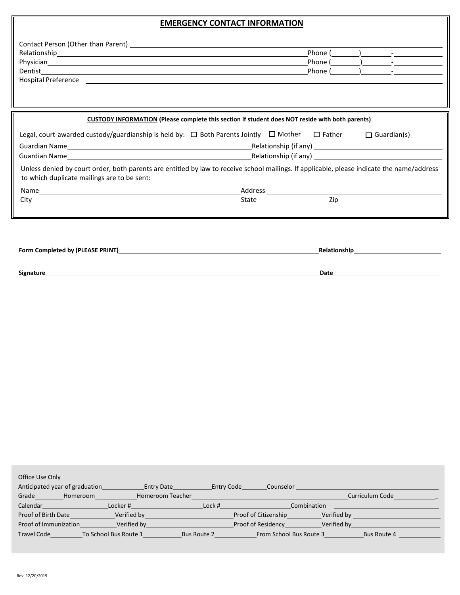## **EMERGENCY CONTACT INFORMATION**

11

|                                                                                                                                                                                           | <b>EMERGENCY CONTACT INFORMATION</b>                                                                   |  |                   |
|-------------------------------------------------------------------------------------------------------------------------------------------------------------------------------------------|--------------------------------------------------------------------------------------------------------|--|-------------------|
|                                                                                                                                                                                           |                                                                                                        |  |                   |
|                                                                                                                                                                                           |                                                                                                        |  |                   |
|                                                                                                                                                                                           |                                                                                                        |  |                   |
|                                                                                                                                                                                           |                                                                                                        |  | Phone $($ $)$ $-$ |
|                                                                                                                                                                                           |                                                                                                        |  |                   |
|                                                                                                                                                                                           |                                                                                                        |  |                   |
|                                                                                                                                                                                           | <b>CUSTODY INFORMATION (Please complete this section if student does NOT reside with both parents)</b> |  |                   |
| Legal, court-awarded custody/guardianship is held by: $\Box$ Both Parents Jointly $\Box$ Mother $\Box$ Father $\Box$ Guardian(s)                                                          |                                                                                                        |  |                   |
|                                                                                                                                                                                           |                                                                                                        |  |                   |
|                                                                                                                                                                                           |                                                                                                        |  |                   |
| Unless denied by court order, both parents are entitled by law to receive school mailings. If applicable, please indicate the name/address<br>to which duplicate mailings are to be sent: |                                                                                                        |  |                   |
|                                                                                                                                                                                           |                                                                                                        |  |                   |

| Form Completed by (PLEASE PRINT) | <b>Relationship</b> |
|----------------------------------|---------------------|
|                                  |                     |
| Signature                        | Date                |

| Office Use Only                |                       |                    |                         |             |                 |
|--------------------------------|-----------------------|--------------------|-------------------------|-------------|-----------------|
| Anticipated year of graduation | <b>Entry Date</b>     | <b>Entry Code</b>  | Counselor               |             |                 |
| Grade<br>Homeroom              | Homeroom Teacher      |                    |                         |             | Curriculum Code |
| Calendar                       | Locker#               | Lock#              | Combination             |             |                 |
| Proof of Birth Date            | Verified by           |                    | Proof of Citizenship    | Verified by |                 |
| Proof of Immunization          | Verified by           |                    | Proof of Residency      | Verified by |                 |
| <b>Travel Code</b>             | To School Bus Route 1 | <b>Bus Route 2</b> | From School Bus Route 3 |             | Bus Route 4     |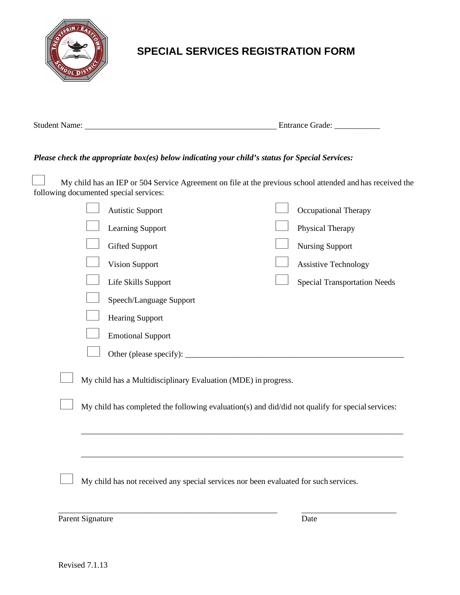

## **SPECIAL SERVICES REGISTRATION FORM**

| <b>Student Name:</b> | <b>Entrance Grade:</b> |
|----------------------|------------------------|
|                      |                        |

### *Please check the appropriate box(es) below indicating your child's status for Special Services:*

My child has an IEP or 504 Service Agreement on file at the previous school attended and has received the following documented special services:

|  | <b>Autistic Support</b>                                                                          | Occupational Therapy                |
|--|--------------------------------------------------------------------------------------------------|-------------------------------------|
|  | Learning Support                                                                                 | Physical Therapy                    |
|  | <b>Gifted Support</b>                                                                            | <b>Nursing Support</b>              |
|  | <b>Vision Support</b>                                                                            | <b>Assistive Technology</b>         |
|  | Life Skills Support                                                                              | <b>Special Transportation Needs</b> |
|  | Speech/Language Support                                                                          |                                     |
|  | <b>Hearing Support</b>                                                                           |                                     |
|  | <b>Emotional Support</b>                                                                         |                                     |
|  | Other (please specify): _____                                                                    |                                     |
|  | My child has a Multidisciplinary Evaluation (MDE) in progress.                                   |                                     |
|  | My child has completed the following evaluation(s) and did/did not qualify for special services: |                                     |
|  |                                                                                                  |                                     |
|  | My child has not received any special services nor been evaluated for such services.             |                                     |

Parent Signature Date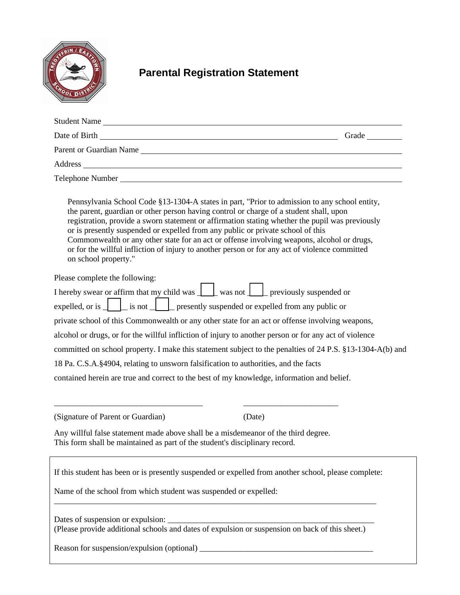

## **Parental Registration Statement**

| Student Name                                                                                                                                                                                                                                                                                                                                                                                                                                                                                                                                                                                          |  |
|-------------------------------------------------------------------------------------------------------------------------------------------------------------------------------------------------------------------------------------------------------------------------------------------------------------------------------------------------------------------------------------------------------------------------------------------------------------------------------------------------------------------------------------------------------------------------------------------------------|--|
| Date of Birth Grade Contract of Birth Grade Contract of Birth Grade Contract of Birth Contract of Birth Contract of Birth Contract of Birth Contract of Birth Contract of Birth Contract of Birth Contract of Birth Contract o                                                                                                                                                                                                                                                                                                                                                                        |  |
| Parent or Guardian Name                                                                                                                                                                                                                                                                                                                                                                                                                                                                                                                                                                               |  |
| Address and the contract of the contract of the contract of the contract of the contract of the contract of the contract of the contract of the contract of the contract of the contract of the contract of the contract of th                                                                                                                                                                                                                                                                                                                                                                        |  |
|                                                                                                                                                                                                                                                                                                                                                                                                                                                                                                                                                                                                       |  |
| Pennsylvania School Code §13-1304-A states in part, "Prior to admission to any school entity,<br>the parent, guardian or other person having control or charge of a student shall, upon<br>registration, provide a sworn statement or affirmation stating whether the pupil was previously<br>or is presently suspended or expelled from any public or private school of this<br>Commonwealth or any other state for an act or offense involving weapons, alcohol or drugs,<br>or for the willful infliction of injury to another person or for any act of violence committed<br>on school property." |  |
| Please complete the following:                                                                                                                                                                                                                                                                                                                                                                                                                                                                                                                                                                        |  |
| I hereby swear or affirm that my child was $\boxed{\phantom{a}}$ was not $\boxed{\phantom{a}}$ previously suspended or                                                                                                                                                                                                                                                                                                                                                                                                                                                                                |  |
| expelled, or is $\Box$ is not $\Box$ presently suspended or expelled from any public or                                                                                                                                                                                                                                                                                                                                                                                                                                                                                                               |  |
| private school of this Commonwealth or any other state for an act or offense involving weapons,                                                                                                                                                                                                                                                                                                                                                                                                                                                                                                       |  |
| alcohol or drugs, or for the willful infliction of injury to another person or for any act of violence                                                                                                                                                                                                                                                                                                                                                                                                                                                                                                |  |
| committed on school property. I make this statement subject to the penalties of 24 P.S. §13-1304-A(b) and                                                                                                                                                                                                                                                                                                                                                                                                                                                                                             |  |
| 18 Pa. C.S.A.§4904, relating to unsworn falsification to authorities, and the facts                                                                                                                                                                                                                                                                                                                                                                                                                                                                                                                   |  |
| contained herein are true and correct to the best of my knowledge, information and belief.                                                                                                                                                                                                                                                                                                                                                                                                                                                                                                            |  |
| (Signature of Parent or Guardian)<br>(Date)                                                                                                                                                                                                                                                                                                                                                                                                                                                                                                                                                           |  |
| Any willful false statement made above shall be a misdemeanor of the third degree.                                                                                                                                                                                                                                                                                                                                                                                                                                                                                                                    |  |

This form shall be maintained as part of the student's disciplinary record.

If this student has been or is presently suspended or expelled from another school, please complete:

\_\_\_\_\_\_\_\_\_\_\_\_\_\_\_\_\_\_\_\_\_\_\_\_\_\_\_\_\_\_\_\_\_\_\_\_\_\_\_\_\_\_\_\_\_\_\_\_\_\_\_\_\_\_\_\_\_\_\_\_\_\_\_\_\_\_\_\_\_\_\_\_\_\_\_\_\_\_

Name of the school from which student was suspended or expelled:

Dates of suspension or expulsion: \_\_\_\_\_\_\_\_\_\_\_\_\_\_\_\_\_\_\_\_\_\_\_\_\_\_\_\_\_\_\_\_\_\_\_\_\_\_\_\_\_\_\_\_\_\_\_\_\_\_ (Please provide additional schools and dates of expulsion or suspension on back of this sheet.)

Reason for suspension/expulsion (optional) \_\_\_\_\_\_\_\_\_\_\_\_\_\_\_\_\_\_\_\_\_\_\_\_\_\_\_\_\_\_\_\_\_\_\_\_\_\_\_\_\_\_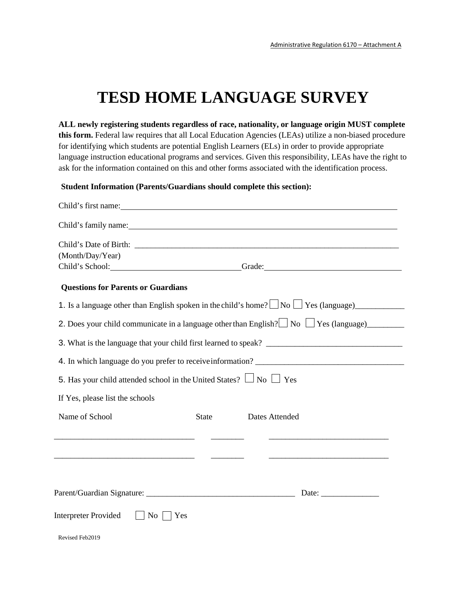# **TESD HOME LANGUAGE SURVEY**

**ALL newly registering students regardless of race, nationality, or language origin MUST complete this form.** Federal law requires that all Local Education Agencies (LEAs) utilize a non-biased procedure for identifying which students are potential English Learners (ELs) in order to provide appropriate language instruction educational programs and services. Given this responsibility, LEAs have the right to ask for the information contained on this and other forms associated with the identification process.

#### **Student Information (Parents/Guardians should complete this section):**

Revised Feb2019

| Child's first name:                                                                                                   |              |                                                                   |
|-----------------------------------------------------------------------------------------------------------------------|--------------|-------------------------------------------------------------------|
|                                                                                                                       |              |                                                                   |
| (Month/Day/Year)                                                                                                      |              | Child's School: Grade: Grade:                                     |
| <b>Questions for Parents or Guardians</b>                                                                             |              |                                                                   |
|                                                                                                                       |              |                                                                   |
|                                                                                                                       |              |                                                                   |
|                                                                                                                       |              |                                                                   |
|                                                                                                                       |              | 4. In which language do you prefer to receive information?        |
| 5. Has your child attended school in the United States? $\Box$ No $\Box$ Yes                                          |              |                                                                   |
| If Yes, please list the schools                                                                                       |              |                                                                   |
| Name of School                                                                                                        | <b>State</b> | Dates Attended                                                    |
| <u> 1989 - Johann Harry Harry Harry Harry Harry Harry Harry Harry Harry Harry Harry Harry Harry Harry Harry Harry</u> |              | <u> 1989 - Johann Barbara, margaret eta idazlearia (h. 1989).</u> |
|                                                                                                                       |              |                                                                   |
|                                                                                                                       |              |                                                                   |
|                                                                                                                       |              |                                                                   |
| <b>Interpreter Provided</b><br>$\overline{N_{O}}$<br>Yes                                                              |              |                                                                   |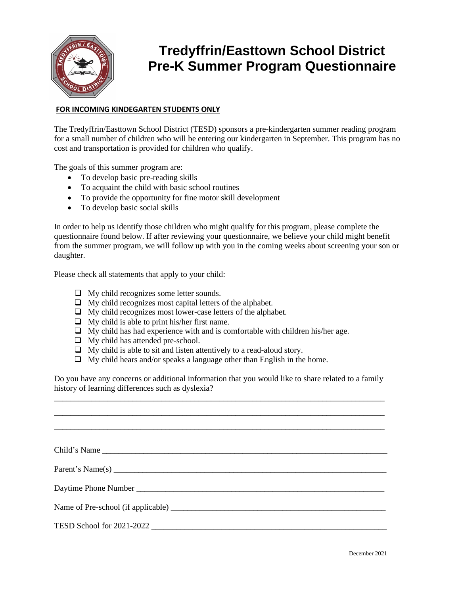

## **Tredyffrin/Easttown School District Pre-K Summer Program Questionnaire**

#### **FOR INCOMING KINDEGARTEN STUDENTS ONLY**

The Tredyffrin/Easttown School District (TESD) sponsors a pre-kindergarten summer reading program for a small number of children who will be entering our kindergarten in September. This program has no cost and transportation is provided for children who qualify.

The goals of this summer program are:

- To develop basic pre-reading skills
- To acquaint the child with basic school routines
- To provide the opportunity for fine motor skill development
- To develop basic social skills

In order to help us identify those children who might qualify for this program, please complete the questionnaire found below. If after reviewing your questionnaire, we believe your child might benefit from the summer program, we will follow up with you in the coming weeks about screening your son or daughter.

Please check all statements that apply to your child:

- $\Box$  My child recognizes some letter sounds.
- $\Box$  My child recognizes most capital letters of the alphabet.
- $\Box$  My child recognizes most lower-case letters of the alphabet.
- $\Box$  My child is able to print his/her first name.
- $\Box$  My child has had experience with and is comfortable with children his/her age.
- $\Box$  My child has attended pre-school.
- $\Box$  My child is able to sit and listen attentively to a read-aloud story.
- $\Box$  My child hears and/or speaks a language other than English in the home.

Do you have any concerns or additional information that you would like to share related to a family history of learning differences such as dyslexia? \_\_\_\_\_\_\_\_\_\_\_\_\_\_\_\_\_\_\_\_\_\_\_\_\_\_\_\_\_\_\_\_\_\_\_\_\_\_\_\_\_\_\_\_\_\_\_\_\_\_\_\_\_\_\_\_\_\_\_\_\_\_\_\_\_\_\_\_\_\_\_\_\_\_\_\_\_\_\_\_

| Parent's Name(s) |
|------------------|
|                  |
|                  |
|                  |
|                  |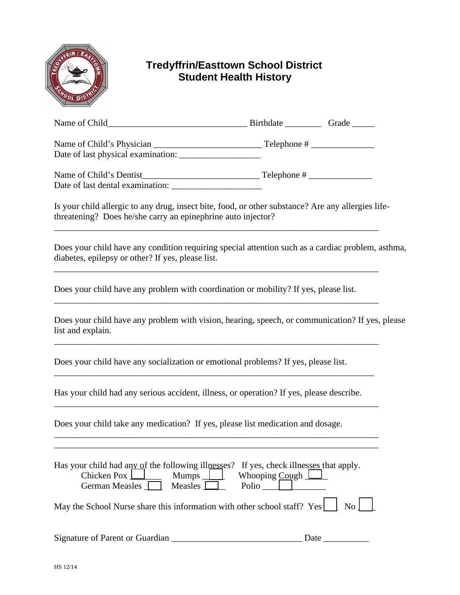

## **Tredyffrin/Easttown School District Student Health History**

| Name of Child                                                   | Birthdate<br>Grade |
|-----------------------------------------------------------------|--------------------|
| Name of Child's Physician<br>Date of last physical examination: | Telephone #        |

| Name of Child's Dentist          | Telephone # |
|----------------------------------|-------------|
| Date of last dental examination: |             |

Is your child allergic to any drug, insect bite, food, or other substance? Are any allergies lifethreatening? Does he/she carry an epinephrine auto injector?

\_\_\_\_\_\_\_\_\_\_\_\_\_\_\_\_\_\_\_\_\_\_\_\_\_\_\_\_\_\_\_\_\_\_\_\_\_\_\_\_\_\_\_\_\_\_\_\_\_\_\_\_\_\_\_\_\_\_\_\_\_\_\_\_\_\_\_\_\_\_\_\_

\_\_\_\_\_\_\_\_\_\_\_\_\_\_\_\_\_\_\_\_\_\_\_\_\_\_\_\_\_\_\_\_\_\_\_\_\_\_\_\_\_\_\_\_\_\_\_\_\_\_\_\_\_\_\_\_\_\_\_\_\_\_\_\_\_\_\_\_\_\_\_\_

Does your child have any condition requiring special attention such as a cardiac problem, asthma, diabetes, epilepsy or other? If yes, please list.

Does your child have any problem with coordination or mobility? If yes, please list.

Does your child have any problem with vision, hearing, speech, or communication? If yes, please list and explain.

\_\_\_\_\_\_\_\_\_\_\_\_\_\_\_\_\_\_\_\_\_\_\_\_\_\_\_\_\_\_\_\_\_\_\_\_\_\_\_\_\_\_\_\_\_\_\_\_\_\_\_\_\_\_\_\_\_\_\_\_\_\_\_\_\_\_\_\_\_\_\_\_

\_\_\_\_\_\_\_\_\_\_\_\_\_\_\_\_\_\_\_\_\_\_\_\_\_\_\_\_\_\_\_\_\_\_\_\_\_\_\_\_\_\_\_\_\_\_\_\_\_\_\_\_\_\_\_\_\_\_\_\_\_\_\_\_\_\_\_\_\_\_\_\_

Does your child have any socialization or emotional problems? If yes, please list.

Has your child had any serious accident, illness, or operation? If yes, please describe.

\_\_\_\_\_\_\_\_\_\_\_\_\_\_\_\_\_\_\_\_\_\_\_\_\_\_\_\_\_\_\_\_\_\_\_\_\_\_\_\_\_\_\_\_\_\_\_\_\_\_\_\_\_\_\_\_\_\_\_\_\_\_\_\_\_\_\_\_\_\_\_

\_\_\_\_\_\_\_\_\_\_\_\_\_\_\_\_\_\_\_\_\_\_\_\_\_\_\_\_\_\_\_\_\_\_\_\_\_\_\_\_\_\_\_\_\_\_\_\_\_\_\_\_\_\_\_\_\_\_\_\_\_\_\_\_\_\_\_\_\_\_\_\_

\_\_\_\_\_\_\_\_\_\_\_\_\_\_\_\_\_\_\_\_\_\_\_\_\_\_\_\_\_\_\_\_\_\_\_\_\_\_\_\_\_\_\_\_\_\_\_\_\_\_\_\_\_\_\_\_\_\_\_\_\_\_\_\_\_\_\_\_\_\_\_\_ \_\_\_\_\_\_\_\_\_\_\_\_\_\_\_\_\_\_\_\_\_\_\_\_\_\_\_\_\_\_\_\_\_\_\_\_\_\_\_\_\_\_\_\_\_\_\_\_\_\_\_\_\_\_\_\_\_\_\_\_\_\_\_\_\_\_\_\_\_\_\_\_

Does your child take any medication? If yes, please list medication and dosage.

| Has your child had any of the following illnesses? If yes, check illnesses that apply.<br>Chicken Pox $\boxed{\phantom{1}}$<br>Measles $\Box$<br>German Measles | $\sim$ Mumps Whooping Cough<br>Polio |
|-----------------------------------------------------------------------------------------------------------------------------------------------------------------|--------------------------------------|
| May the School Nurse share this information with other school staff? $Yes \quad \text{No} \quad \text{No}$                                                      |                                      |
| Signature of Parent or Guardian                                                                                                                                 | Date                                 |